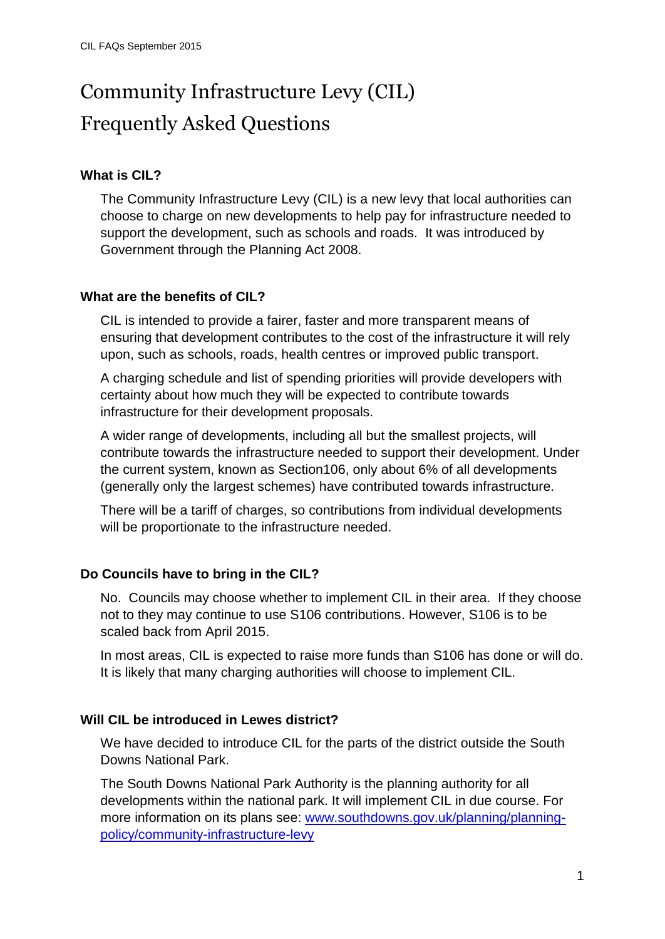# Community Infrastructure Levy (CIL) Frequently Asked Questions

## **What is CIL?**

The Community Infrastructure Levy (CIL) is a new levy that local authorities can choose to charge on new developments to help pay for infrastructure needed to support the development, such as schools and roads. It was introduced by Government through the Planning Act 2008.

## **What are the benefits of CIL?**

CIL is intended to provide a fairer, faster and more transparent means of ensuring that development contributes to the cost of the infrastructure it will rely upon, such as schools, roads, health centres or improved public transport.

A charging schedule and list of spending priorities will provide developers with certainty about how much they will be expected to contribute towards infrastructure for their development proposals.

A wider range of developments, including all but the smallest projects, will contribute towards the infrastructure needed to support their development. Under the current system, known as Section106, only about 6% of all developments (generally only the largest schemes) have contributed towards infrastructure.

There will be a tariff of charges, so contributions from individual developments will be proportionate to the infrastructure needed.

# **Do Councils have to bring in the CIL?**

No. Councils may choose whether to implement CIL in their area. If they choose not to they may continue to use S106 contributions. However, S106 is to be scaled back from April 2015.

In most areas, CIL is expected to raise more funds than S106 has done or will do. It is likely that many charging authorities will choose to implement CIL.

#### **Will CIL be introduced in Lewes district?**

We have decided to introduce CIL for the parts of the district outside the South Downs National Park.

The South Downs National Park Authority is the planning authority for all developments within the national park. It will implement CIL in due course. For more information on its plans see: [www.southdowns.gov.uk/planning/planning](http://www.southdowns.gov.uk/planning/planning-policy/community-infrastructure-levy)[policy/community-infrastructure-levy](http://www.southdowns.gov.uk/planning/planning-policy/community-infrastructure-levy)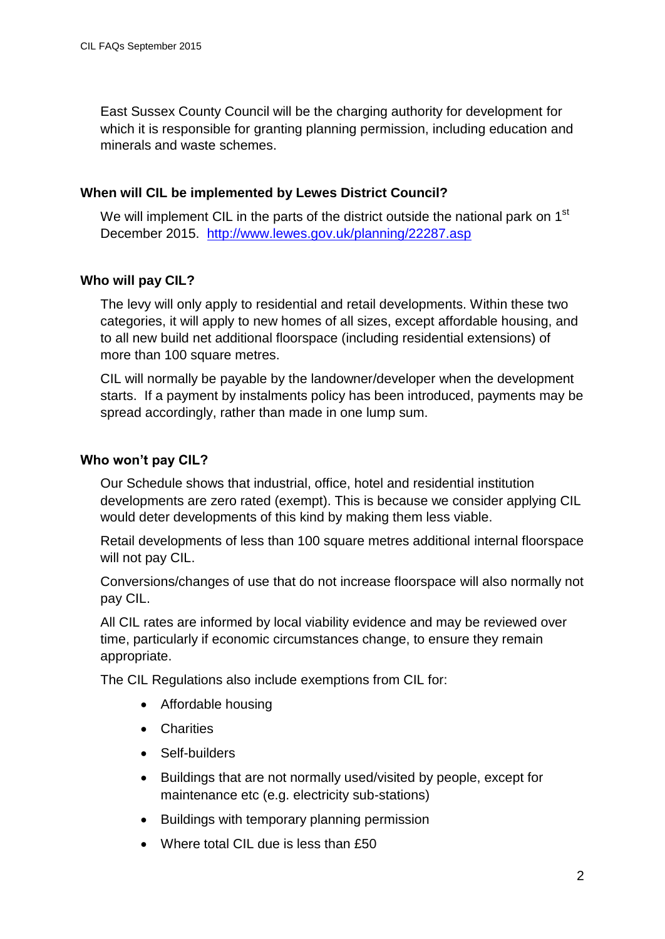East Sussex County Council will be the charging authority for development for which it is responsible for granting planning permission, including education and minerals and waste schemes.

#### **When will CIL be implemented by Lewes District Council?**

We will implement CIL in the parts of the district outside the national park on 1<sup>st</sup> December 2015. <http://www.lewes.gov.uk/planning/22287.asp>

## **Who will pay CIL?**

The levy will only apply to residential and retail developments. Within these two categories, it will apply to new homes of all sizes, except affordable housing, and to all new build net additional floorspace (including residential extensions) of more than 100 square metres.

CIL will normally be payable by the landowner/developer when the development starts. If a payment by instalments policy has been introduced, payments may be spread accordingly, rather than made in one lump sum.

## **Who won't pay CIL?**

Our Schedule shows that industrial, office, hotel and residential institution developments are zero rated (exempt). This is because we consider applying CIL would deter developments of this kind by making them less viable.

Retail developments of less than 100 square metres additional internal floorspace will not pay CIL.

Conversions/changes of use that do not increase floorspace will also normally not pay CIL.

All CIL rates are informed by local viability evidence and may be reviewed over time, particularly if economic circumstances change, to ensure they remain appropriate.

The CIL Regulations also include exemptions from CIL for:

- Affordable housing
- Charities
- Self-builders
- Buildings that are not normally used/visited by people, except for maintenance etc (e.g. electricity sub-stations)
- Buildings with temporary planning permission
- Where total CIL due is less than £50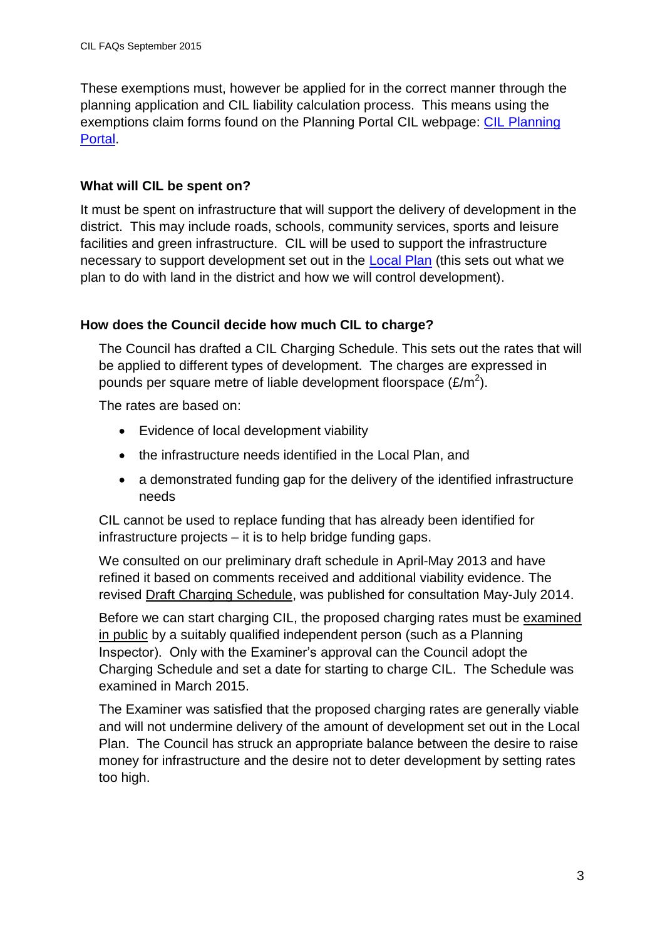These exemptions must, however be applied for in the correct manner through the planning application and CIL liability calculation process. This means using the exemptions claim forms found on the Planning Portal CIL webpage: [CIL Planning](http://www.planningportal.gov.uk/planning/applications/howtoapply/whattosubmit/cil)  [Portal.](http://www.planningportal.gov.uk/planning/applications/howtoapply/whattosubmit/cil)

# **What will CIL be spent on?**

It must be spent on infrastructure that will support the delivery of development in the district. This may include roads, schools, community services, sports and leisure facilities and green infrastructure. CIL will be used to support the infrastructure necessary to support development set out in the [Local Plan](http://www.lewes.gov.uk/planning/3498.asp) (this sets out what we plan to do with land in the district and how we will control development).

# **How does the Council decide how much CIL to charge?**

The Council has drafted a CIL Charging Schedule. This sets out the rates that will be applied to different types of development. The charges are expressed in pounds per square metre of liable development floorspace (£/m<sup>2</sup>).

The rates are based on:

- Evidence of local development viability
- the infrastructure needs identified in the Local Plan, and
- a demonstrated funding gap for the delivery of the identified infrastructure needs

CIL cannot be used to replace funding that has already been identified for infrastructure projects – it is to help bridge funding gaps.

We consulted on our preliminary draft schedule in April-May 2013 and have refined it based on comments received and additional viability evidence. The revised Draft Charging Schedule, was published for consultation May-July 2014.

Before we can start charging CIL, the proposed charging rates must be examined in public by a suitably qualified independent person (such as a Planning Inspector). Only with the Examiner's approval can the Council adopt the Charging Schedule and set a date for starting to charge CIL. The Schedule was examined in March 2015.

The Examiner was satisfied that the proposed charging rates are generally viable and will not undermine delivery of the amount of development set out in the Local Plan. The Council has struck an appropriate balance between the desire to raise money for infrastructure and the desire not to deter development by setting rates too high.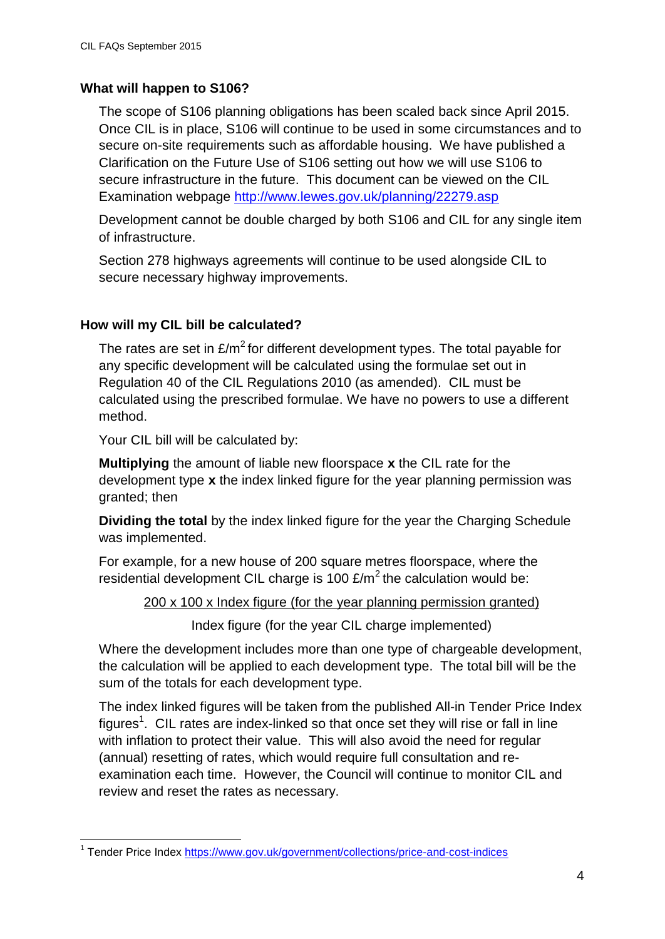## **What will happen to S106?**

The scope of S106 planning obligations has been scaled back since April 2015. Once CIL is in place, S106 will continue to be used in some circumstances and to secure on-site requirements such as affordable housing. We have published a Clarification on the Future Use of S106 setting out how we will use S106 to secure infrastructure in the future. This document can be viewed on the CIL Examination webpage<http://www.lewes.gov.uk/planning/22279.asp>

Development cannot be double charged by both S106 and CIL for any single item of infrastructure.

Section 278 highways agreements will continue to be used alongside CIL to secure necessary highway improvements.

## **How will my CIL bill be calculated?**

The rates are set in  $\mathsf{E/m}^2$  for different development types. The total payable for any specific development will be calculated using the formulae set out in Regulation 40 of the CIL Regulations 2010 (as amended). CIL must be calculated using the prescribed formulae. We have no powers to use a different method.

Your CIL bill will be calculated by:

**Multiplying** the amount of liable new floorspace **x** the CIL rate for the development type **x** the index linked figure for the year planning permission was granted; then

**Dividing the total** by the index linked figure for the year the Charging Schedule was implemented.

For example, for a new house of 200 square metres floorspace, where the residential development CIL charge is 100  $\text{E/m}^2$  the calculation would be:

200 x 100 x Index figure (for the year planning permission granted)

Index figure (for the year CIL charge implemented)

Where the development includes more than one type of chargeable development, the calculation will be applied to each development type. The total bill will be the sum of the totals for each development type.

The index linked figures will be taken from the published All-in Tender Price Index figures<sup>1</sup>. CIL rates are index-linked so that once set they will rise or fall in line with inflation to protect their value. This will also avoid the need for regular (annual) resetting of rates, which would require full consultation and reexamination each time. However, the Council will continue to monitor CIL and review and reset the rates as necessary.

 1 Tender Price Index<https://www.gov.uk/government/collections/price-and-cost-indices>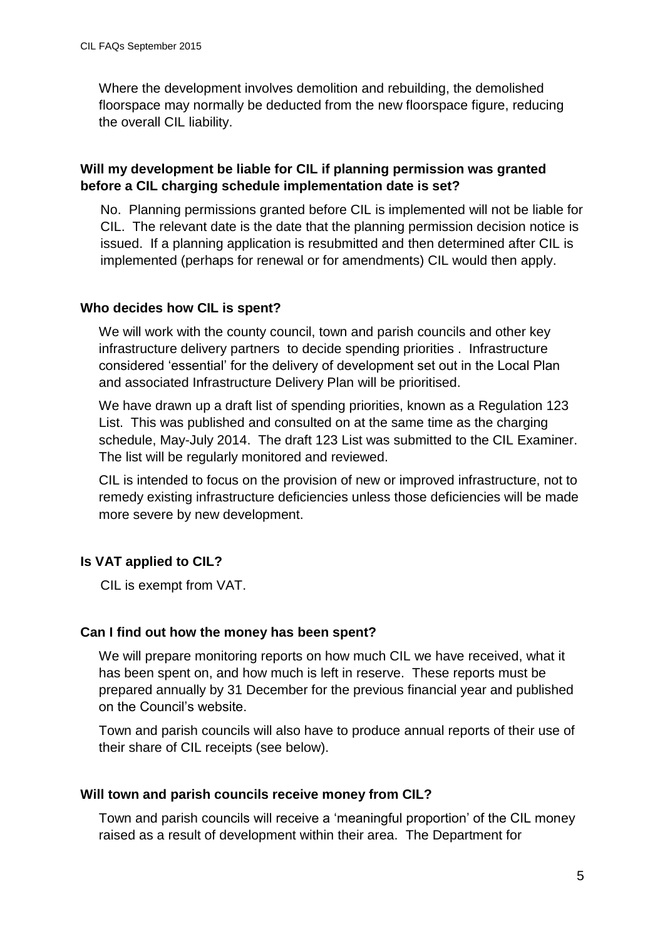Where the development involves demolition and rebuilding, the demolished floorspace may normally be deducted from the new floorspace figure, reducing the overall CIL liability.

# **Will my development be liable for CIL if planning permission was granted before a CIL charging schedule implementation date is set?**

No. Planning permissions granted before CIL is implemented will not be liable for CIL. The relevant date is the date that the planning permission decision notice is issued. If a planning application is resubmitted and then determined after CIL is implemented (perhaps for renewal or for amendments) CIL would then apply.

## **Who decides how CIL is spent?**

We will work with the county council, town and parish councils and other key infrastructure delivery partners to decide spending priorities . Infrastructure considered 'essential' for the delivery of development set out in the Local Plan and associated Infrastructure Delivery Plan will be prioritised.

We have drawn up a draft list of spending priorities, known as a Regulation 123 List. This was published and consulted on at the same time as the charging schedule, May-July 2014. The draft 123 List was submitted to the CIL Examiner. The list will be regularly monitored and reviewed.

CIL is intended to focus on the provision of new or improved infrastructure, not to remedy existing infrastructure deficiencies unless those deficiencies will be made more severe by new development.

# **Is VAT applied to CIL?**

CIL is exempt from VAT.

#### **Can I find out how the money has been spent?**

We will prepare monitoring reports on how much CIL we have received, what it has been spent on, and how much is left in reserve. These reports must be prepared annually by 31 December for the previous financial year and published on the Council's website.

Town and parish councils will also have to produce annual reports of their use of their share of CIL receipts (see below).

# **Will town and parish councils receive money from CIL?**

Town and parish councils will receive a 'meaningful proportion' of the CIL money raised as a result of development within their area. The Department for